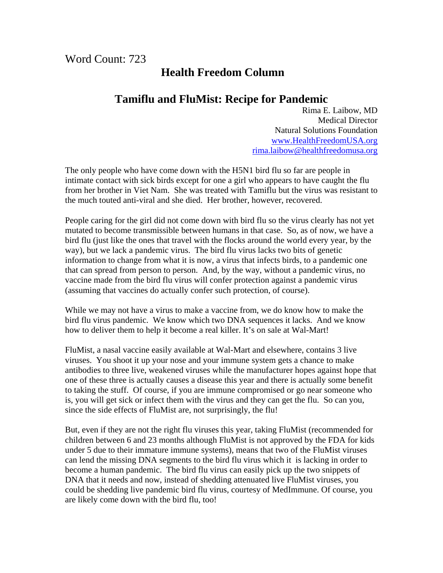Word Count: 723

## **Health Freedom Column**

## **Tamiflu and FluMist: Recipe for Pandemic**

Rima E. Laibow, MD Medical Director Natural Solutions Foundation [www.HealthFreedomUSA.org](http://www.healthfreedomusa.org/) [rima.laibow@healthfreedomusa.org](mailto:rima.laibow@healthfreedomusa.org)

The only people who have come down with the H5N1 bird flu so far are people in intimate contact with sick birds except for one a girl who appears to have caught the flu from her brother in Viet Nam. She was treated with Tamiflu but the virus was resistant to the much touted anti-viral and she died. Her brother, however, recovered.

People caring for the girl did not come down with bird flu so the virus clearly has not yet mutated to become transmissible between humans in that case. So, as of now, we have a bird flu (just like the ones that travel with the flocks around the world every year, by the way), but we lack a pandemic virus. The bird flu virus lacks two bits of genetic information to change from what it is now, a virus that infects birds, to a pandemic one that can spread from person to person. And, by the way, without a pandemic virus, no vaccine made from the bird flu virus will confer protection against a pandemic virus (assuming that vaccines do actually confer such protection, of course).

While we may not have a virus to make a vaccine from, we do know how to make the bird flu virus pandemic. We know which two DNA sequences it lacks. And we know how to deliver them to help it become a real killer. It's on sale at Wal-Mart!

FluMist, a nasal vaccine easily available at Wal-Mart and elsewhere, contains 3 live viruses. You shoot it up your nose and your immune system gets a chance to make antibodies to three live, weakened viruses while the manufacturer hopes against hope that one of these three is actually causes a disease this year and there is actually some benefit to taking the stuff. Of course, if you are immune compromised or go near someone who is, you will get sick or infect them with the virus and they can get the flu. So can you, since the side effects of FluMist are, not surprisingly, the flu!

But, even if they are not the right flu viruses this year, taking FluMist (recommended for children between 6 and 23 months although FluMist is not approved by the FDA for kids under 5 due to their immature immune systems), means that two of the FluMist viruses can lend the missing DNA segments to the bird flu virus which it is lacking in order to become a human pandemic. The bird flu virus can easily pick up the two snippets of DNA that it needs and now, instead of shedding attenuated live FluMist viruses, you could be shedding live pandemic bird flu virus, courtesy of MedImmune. Of course, you are likely come down with the bird flu, too!